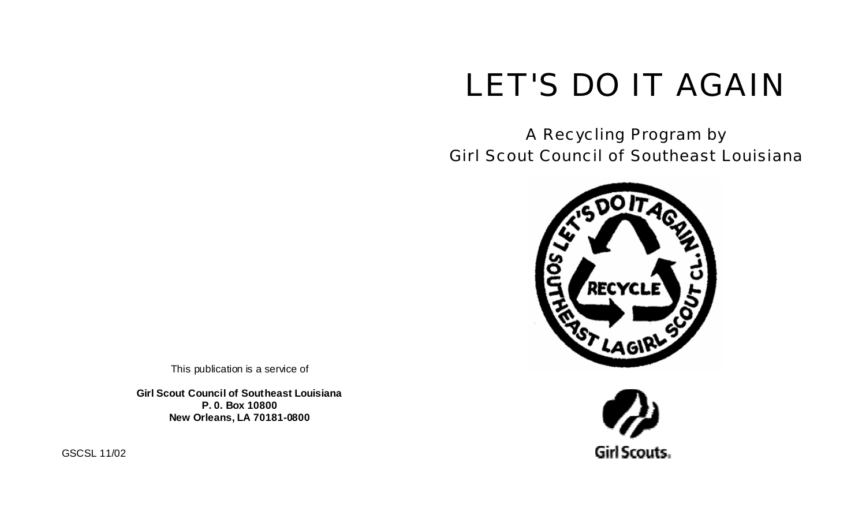# LET'S DO IT AGAIN

A Recycling Program by Girl Scout Council of Southeast Louisiana





This publication is a service of

**Girl Scout Council of Southeast Louisiana P. 0. Box 10800 New Orleans, LA 70181-0800** 

GSCSL 11/02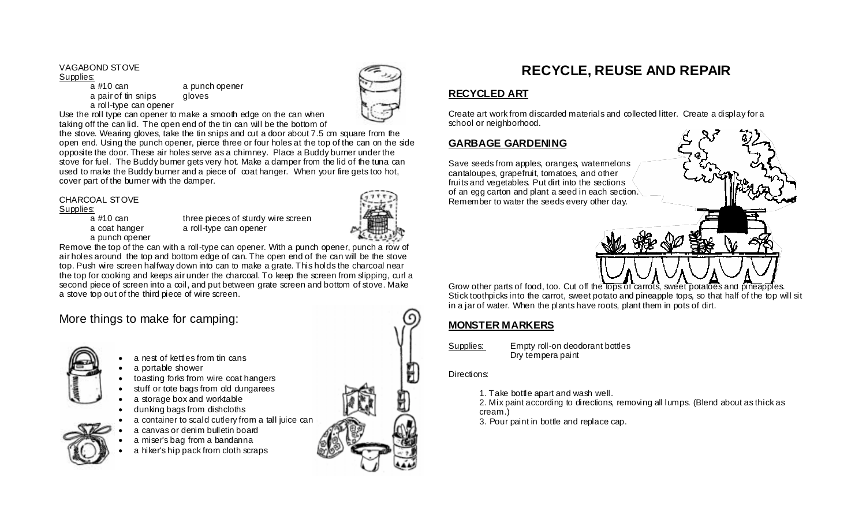### VAGABOND STOVE

#### Supplies:

a #10 can a punch opener a pair of tin snips gloves a roll-type can opener



Use the roll type can opener to make a smooth edge on the can when taking off the can lid. The open end of the tin can will be the bottom of

the stove. Wearing gloves, take the tin snips and cut a door about 7.5 cm square from the open end. Using the punch opener, pierce three or four holes at the top of the can on the side opposite the door. These air holes serve as a chimney. Place a Buddy burner under the stove for fuel. The Buddy burner gets very hot. Make a damper from the lid of the tuna can used to make the Buddy burner and a piece of coat hanger. When your fire gets too hot, cover part of the burner with the damper.

### CHARCOAL STOVE

# Supplies:<br>a #10 can

a punch opener

three pieces of sturdy wire screen a coat hanger a roll-type can opener



Remove the top of the can with a roll-type can opener. With a punch opener, punch a row of air holes around the top and bottom edge of can. The open end of the can will be the stove top. Push wire screen halfway down into can to make a grate. This holds the charcoal near the top for cooking and keeps air under the charcoal. To keep the screen from slipping, curl a second piece of screen into a coil, and put between grate screen and bottom of stove. Make a stove top out of the third piece of wire screen.

# More things to make for camping:



- a nest of kettles from tin cans
- a portable shower
- toasting forks from wire coat hangers
- stuff or tote bags from old dungarees
- a storage box and worktable
- dunking bags from dishcloths
- a container to scald cutlery from a tall juice can
- a canvas or denim bulletin board
- a miser's bag from a bandanna
- a hiker's hip pack from cloth scraps



# **RECYCLE, REUSE AND REPAIR**

# **RECYCLED ART**

Create art work from discarded materials and collected litter. Create a display for a school or neighborhood.

# **GARBAGE GARDENING**

Save seeds from apples, oranges, watermelons cantaloupes, grapefruit, tomatoes, and other fruits and vegetables. Put dirt into the sections of an egg carton and plant a seed in each section. Remember to water the seeds every other day.



Grow other parts of food, too. Cut off the tops of carrots, sweet potatoes and pineapples. Stick toothpicks into the carrot, sweet potato and pineapple tops, so that half of the top will sit in a jar of water. When the plants have roots, plant them in pots of dirt.

# **MONSTER MARKERS**

Supplies: Empty roll-on deodorant bottles Dry tempera paint

### Directions:

- 1. Take bottle apart and wash well.
- 2. Mix paint according to directions, removing all lumps. (Blend about as thick as cream.)
- 3. Pour paint in bottle and replace cap.

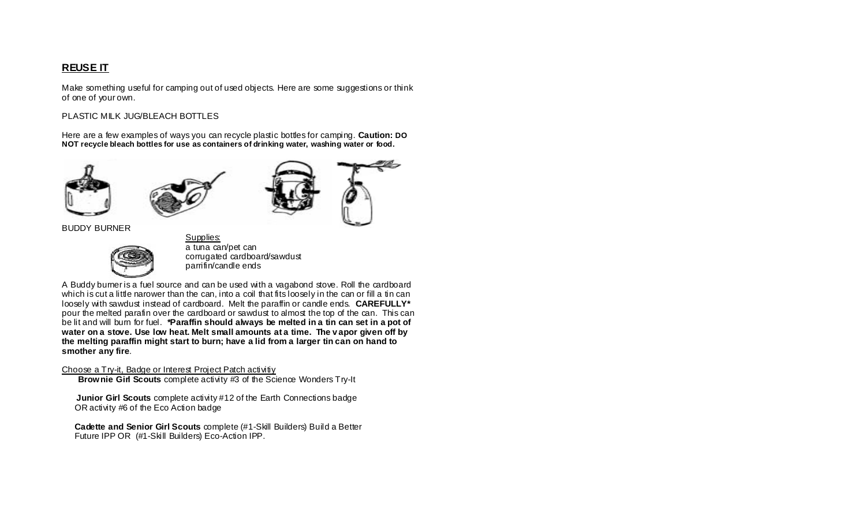# **REUSE IT**

Make something useful for camping out of used objects. Here are some suggestions or think of one of your own.

### PLASTIC MILK JUG/BLEACH BOTTLES

Here are a few examples of ways you can recycle plastic bottles for camping. **Caution: DO NOT recycle bleach bottles for use as containers of drinking water, washing water or food.** 





Supplies:



BUDDY BURNER



 a tuna can/pet can corrugated cardboard/sawdust parrifin/candle ends

A Buddy burner is a fuel source and can be used with a vagabond stove. Roll the cardboard which is cut a little narower than the can, into a coil that fits loosely in the can or fill a tin can loosely with sawdust instead of cardboard. Melt the paraffin or candle ends. **CAREFULLY\***  pour the melted parafin over the cardboard or sawdust to almost the top of the can. This can be lit and will burn for fuel. **\*Paraffin should always be melted in a tin can set in a pot of**  water on a stove. Use low heat. Melt small amounts at a time. The vapor given off by **the melting paraffin might start to burn; have a lid from a larger tin can on hand to smother any fire***.*

### Choose a Try-it, Badge or Interest Project Patch activity

**Brownie Girl Scouts** complete activity #3 of the Science Wonders Try-It

**Junior Girl Scouts** complete activity #12 of the Earth Connections badge OR activity #6 of the Eco Action badge

**Cadette and Senior Girl Scouts**  $\text{complete}$  **(#1-Skill Builders) Build a Better** Future IPP OR (#1-Skill Builders) Eco-Action IPP.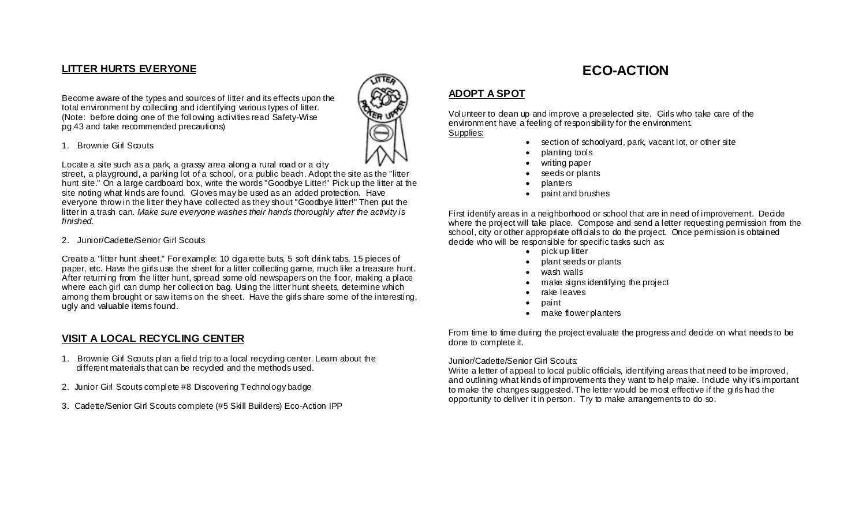## **LITTER HURTS EVERYONE**

Become aware of the types and sources of litter and its effects upon the total environment by collecting and identifying various types of litter. (Note: before doing one of the following activities read Safety-Wise pg.43 and take recommended precautions)

#### 1. Brownie Girl Scouts

Locate a site such as a park, a grassy area along a rural road or a city

street, a playground, a parking lot of a school, or a public beach. Adopt the site as the "litter hunt site." On a large cardboard box, write the words "Goodbye Litter!" Pick up the litter at the site noting what kinds are found. Gloves may be used as an added protection. Have everyone throw in the litter they have collected as they shout "Goodbye litter!" Then put the litter in a trash can. Make sure everyone washes their hands thoroughly after the activity is *finished.*

2. Junior/Cadette/Senior Girl Scouts

Create a "litter hunt sheet." For example: 10 digarette buts, 5 soft drink tabs, 15 pieces of paper, etc. Have the girls use the sheet for a litter collecting game, much like a treasure hunt. After returning from the litter hunt, spread some old newspapers on the floor, making a place where each girl can dump her collection bag. Using the litter hunt sheets, determine which among them brought or saw items on the sheet. Have the girls share some of the interesting, ugly and valuable items found.

### **VISIT A LOCAL RECYCLING CENTER**

- 1. Brownie Girl Scouts plan a field trip to a local recycling center. Learn about the different materials that can be recycled and the methods used.
- 2. Junior Girl Scouts complete #8 Discovering Technology badge
- 3. Cadette/Senior Girl Scouts complete (#5 Skill Builders) Eco-Action IPP

# **ECO-ACTION**

## **ADOPT A SPOT**

Volunteer to dean up and improve a preselected site. Girls who take care of the environment have a feeling of responsibility for the environment.

Supplies:

- section of schoolyard, park, vacant lot, or other site
- planting tools
- writing paper
- seeds or plants
- planters
- paint and brushes

First identify areas in a neighborhood or school that are in need of improvement. Decide where the project will take place. Compose and send a letter requesting permission from the school, city or other appropriate officials to do the project. Once permission is obtained decide who will be responsible for specific tasks such as:

- pick up litter
- plant seeds or plants
- wash walls
- make signs identifying the project
- rake leaves
- paint
- make flower planters

From time to time during the project evaluate the progress and decide on what needs to be done to complete it.

#### Junior/Cadette/Senior Girl Scouts:

Write a letter of appeal to local public officials, identifying areas that need to be improved, and outlining what kinds of improvements they want to help make. Indude why it's important to make the changes suggested. The letter would be most effective if the girls had the opportunity to deliver it in person. Try to make arrangements to do so.

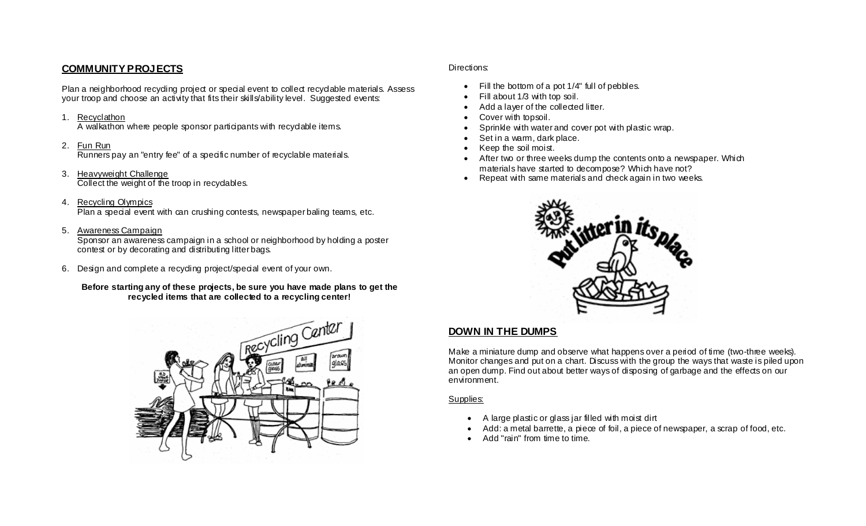### **COMMUNITY PROJECTS**

Plan a neighborhood recyding project or special event to collect recyclable materials. Assess your troop and choose an activity that fits their skills/ability level. Suggested events:

#### 1. Recyclathon

A walkathon where people sponsor participants with recyclable items.

#### 2. Fun Run

Runners pay an "entry fee" of a specific number of recyclable materials.

- 3. Heavyweight Challenge Collect the weight of the troop in recyclables.
- 4. Recycling Olympics Plan a special event with can crushing contests, newspaper baling teams, etc.

#### 5. Awareness Campaign

Sponsor an awareness campaign in a school or neighborhood by holding a poster contest or by decorating and distributing litter bags.

6. Design and complete a recycling project/special event of your own.

**Before starting any of these projects, be sure you have made plans to get the recycled items that are collected to a recycling center!** 



### Directions:

- Fill the bottom of a pot 1/4" full of pebbles.
- Fill about 1/3 with top soil.
- Add a layer of the collected litter.
- Cover with topsoil.
- Sprinkle with water and cover pot with plastic wrap.
- Set in a warm, dark place.
- Keep the soil moist.
- After two or three weeks dump the contents onto a newspaper. Which materials have started to decompose? Which have not?
- Repeat with same materials and check again in two weeks.



### **DOWN IN THE DUMPS**

Make a miniature dump and observe what happens over a period of time (two-three weeks). Monitor changes and put on a chart. Discuss with the group the ways that waste is piled upon an open dump. Find out about better ways of disposing of garbage and the effects on our environment.

### Supplies:

- A large plastic or glass jar filled with moist dirt
- Add: a metal barrette, a piece of foil, a piece of newspaper, a scrap of food, etc.
- Add "rain" from time to time.